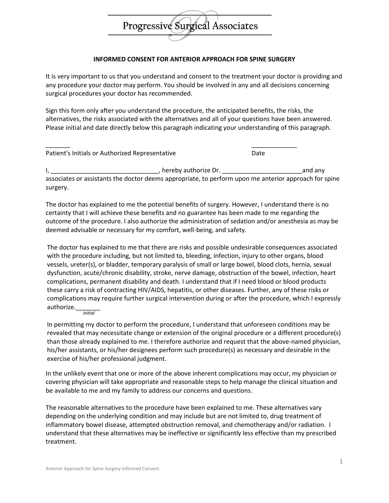## Progressive Surgical Associates

## **INFORMED CONSENT FOR ANTERIOR APPROACH FOR SPINE SURGERY**

It is very important to us that you understand and consent to the treatment your doctor is providing and any procedure your doctor may perform. You should be involved in any and all decisions concerning surgical procedures your doctor has recommended.

Sign this form only after you understand the procedure, the anticipated benefits, the risks, the alternatives, the risks associated with the alternatives and all of your questions have been answered. Please initial and date directly below this paragraph indicating your understanding of this paragraph.

\_\_\_\_\_\_\_ \_\_\_\_\_\_\_\_\_\_\_\_\_

Patient's Initials or Authorized Representative Date

I, the same state of the state of the state of the state of the state of the state of the state of the state of the state of the state of the state of the state of the state of the state of the state of the state of the st associates or assistants the doctor deems appropriate, to perform upon me anterior approach for spine surgery.

The doctor has explained to me the potential benefits of surgery. However, I understand there is no certainty that I will achieve these benefits and no guarantee has been made to me regarding the outcome of the procedure. I also authorize the administration of sedation and/or anesthesia as may be deemed advisable or necessary for my comfort, well-being, and safety.

The doctor has explained to me that there are risks and possible undesirable consequences associated with the procedure including, but not limited to, bleeding, infection, injury to other organs, blood vessels, ureter(s), or bladder, temporary paralysis of small or large bowel, blood clots, hernia, sexual dysfunction, acute/chronic disability, stroke, nerve damage, obstruction of the bowel, infection, heart complications, permanent disability and death. I understand that if I need blood or blood products these carry a risk of contracting HIV/AIDS, hepatitis, or other diseases. Further, any of these risks or complications may require further surgical intervention during or after the procedure, which I expressly authorize.\_\_\_\_\_\_\_ *initial*

In permitting my doctor to perform the procedure, I understand that unforeseen conditions may be revealed that may necessitate change or extension of the original procedure or a different procedure(s) than those already explained to me. I therefore authorize and request that the above-named physician, his/her assistants, or his/her designees perform such procedure(s) as necessary and desirable in the exercise of his/her professional judgment.

In the unlikely event that one or more of the above inherent complications may occur, my physician or covering physician will take appropriate and reasonable steps to help manage the clinical situation and be available to me and my family to address our concerns and questions.

The reasonable alternatives to the procedure have been explained to me. These alternatives vary depending on the underlying condition and may include but are not limited to, drug treatment of inflammatory bowel disease, attempted obstruction removal, and chemotherapy and/or radiation. I understand that these alternatives may be ineffective or significantly less effective than my prescribed treatment.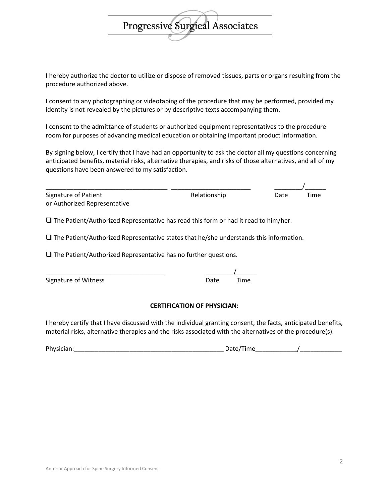I hereby authorize the doctor to utilize or dispose of removed tissues, parts or organs resulting from the procedure authorized above.

**Progressive Surgieal Associates** 

I consent to any photographing or videotaping of the procedure that may be performed, provided my identity is not revealed by the pictures or by descriptive texts accompanying them.

I consent to the admittance of students or authorized equipment representatives to the procedure room for purposes of advancing medical education or obtaining important product information.

By signing below, I certify that I have had an opportunity to ask the doctor all my questions concerning anticipated benefits, material risks, alternative therapies, and risks of those alternatives, and all of my questions have been answered to my satisfaction.

| Signature of Patient         | Relationship | Date | Time |
|------------------------------|--------------|------|------|
| or Authorized Representative |              |      |      |

 $\square$  The Patient/Authorized Representative has read this form or had it read to him/her.

 $\square$  The Patient/Authorized Representative states that he/she understands this information.

 $\square$  The Patient/Authorized Representative has no further questions.

\_\_\_\_\_\_\_\_\_\_\_\_\_\_\_\_\_\_\_\_\_\_\_\_\_\_\_\_\_\_\_\_\_\_ \_\_\_\_\_\_\_\_/\_\_\_\_\_\_

| Signature of Witness | Date | Time |
|----------------------|------|------|
|----------------------|------|------|

## **CERTIFICATION OF PHYSICIAN:**

I hereby certify that I have discussed with the individual granting consent, the facts, anticipated benefits, material risks, alternative therapies and the risks associated with the alternatives of the procedure(s).

| Dŀ<br>,,, |         |  |
|-----------|---------|--|
| ____      | _______ |  |